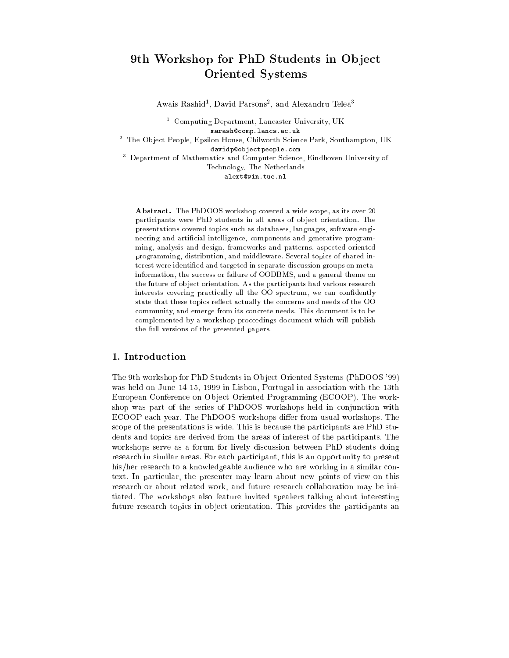# 9th Workshop for PhD Students in Object Oriented Systems

Awais Rashid", David Parsons", and Alexandru Telea-

 $\,$  - Computing Department, Lancaster University, UK marash@comp.lancs.ac.uk <sup>2</sup> The Ob ject People, Epsilon House, Chilworth Science Park, Southampton, UK

davidp@objectpeople.com

<sup>3</sup> Department of Mathematics and Computer Science, Eindhoven University of Technology, The Netherlands alext@win.tue.nl

Abstract. The PhDOOS workshop covered a wide scope, as its over 20 participants were PhD students in all areas of ob ject orientation. The presentations covered topics such as databases, languages, software engineering and articial intelligence, components and generative programming, analysis and design, frameworks and patterns, aspected oriented programming, distribution, and middleware. Several topics of shared interest were identied and targeted in separate discussion groups on metainformation, the success or failure of OODBMS, and a general theme on the future of object orientation. As the participants had various research interests covering practically all the OO spectrum, we can condently state that these topics reflect actually the concerns and needs of the OO community, and emerge from its concrete needs. This document is to be complemented by a workshop proceedings document which will publish the full versions of the presented papers.

# 1. Introduction

The 9th workshop for PhD Students in Object Oriented Systems (PhDOOS '99) was held on June 14-15, 1999 in Lisbon, Portugal in association with the 13th European Conference on Object Oriented Programming (ECOOP). The workshop was part of the series of PhDOOS workshops held in conjunction with ECOOP each year. The PhDOOS workshops differ from usual workshops. The scope of the presentations is wide. This is because the participants are PhD students and topics are derived from the areas of interest of the participants. The workshops serve as a forum for lively discussion between PhD students doing research in similar areas. For each participant, this is an opportunity to present his/her research to a knowledgeable audience who are working in a similar context. In particular, the presenter may learn about new points of view on this research or about related work, and future research collaboration may be initiated. The workshops also feature invited speakers talking about interesting future research topics in object orientation. This provides the participants an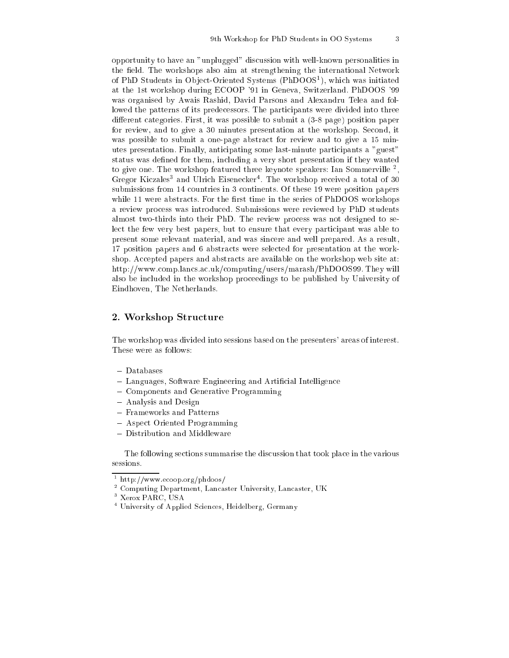opportunity to have an "unplugged" discussion with well-known personalities in the field. The workshops also aim at strengthening the international Network of PhD Students in Ob ject-Oriented Systems (PhDOOS<sup>1</sup> ), which was initiated at the 1st workshop during ECOOP '91 in Geneva, Switzerland. PhDOOS '99 was organised by Awais Rashid, David Parsons and Alexandru Telea and followed the patterns of its predecessors. The participants were divided into three different categories. First, it was possible to submit a  $(3-8)$  page) position paper for review, and to give a 30 minutes presentation at the workshop. Second, it was possible to submit a one-page abstract for review and to give a 15 minutes presentation. Finally, anticipating some last-minute participants a "guest" status was defined for them, including a very short presentation if they wanted to give one. The workshop featured three keynote speakers: Ian Sommerville 2 Gregor Kiczales and Ulrich Eisenecker . The workshop received a total of 30 submissions from 14 countries in 3 continents. Of these 19 were position papers while 11 were abstracts. For the first time in the series of PhDOOS workshops a review process was introduced. Submissions were reviewed by PhD students almost two-thirds into their PhD. The review process was not designed to select the few very best papers, but to ensure that every participant was able to present some relevant material, and was sincere and well prepared. As a result, 17 position papers and 6 abstracts were selected for presentation at the workshop. Accepted papers and abstracts are available on the workshop web site at: http://www.comp.lancs.ac.uk/computing/users/marash/PhDOOS99. They will also be included in the workshop proceedings to be published by University of Eindhoven, The Netherlands.

## 2. Workshop Structure

The workshop was divided into sessions based on the presenters' areas of interest. These were as follows:

- Databases
- Languages, Software Engineering and Artificial Intelligence
- { Components and Generative Programming
- { Analysis and Design
- { Frameworks and Patterns
- { Aspect Oriented Programming
- Distribution and Middleware

The following sections summarise the discussion that took place in the various sessions.

<sup>1</sup> http://www.ecoop.org/phdoos/

<sup>2</sup> Computing Department, Lancaster University, Lancaster, UK

<sup>&</sup>lt;sup>-</sup> Aerox PARC, USA

<sup>4</sup> University of Applied Sciences, Heidelberg, Germany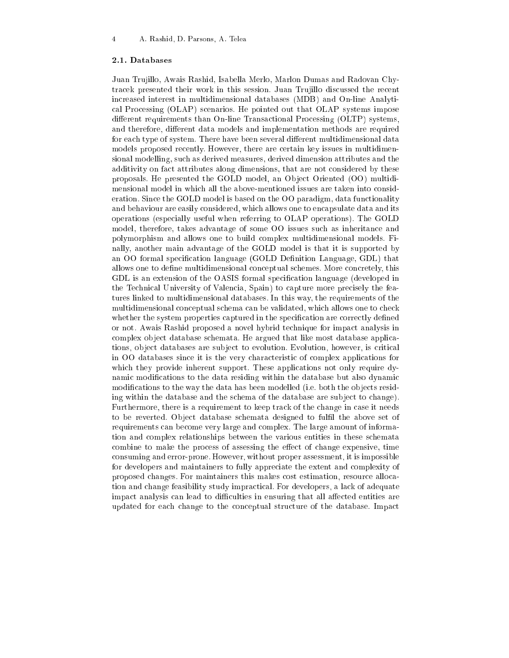#### 2.1. Databases

Juan Trujillo, Awais Rashid, Isabella Merlo, Marlon Dumas and Radovan Chytracek presented their work in this session. Juan Trujillo discussed the recent increased interest in multidimensional databases (MDB) and On-line Analytical Processing (OLAP) scenarios. He pointed out that OLAP systems impose different requirements than On-line Transactional Processing (OLTP) systems, and therefore, different data models and implementation methods are required for each type of system. There have been several different multidimensional data models proposed recently. However, there are certain key issues in multidimensional modelling, such as derived measures, derived dimension attributes and the additivity on fact attributes along dimensions, that are not considered by these proposals. He presented the GOLD model, an Ob ject Oriented (OO) multidimensional model in which all the above-mentioned issues are taken into consideration. Since the GOLD model is based on the OO paradigm, data functionality and behaviour are easily considered, which allows one to encapsulate data and its operations (especially useful when referring to OLAP operations). The GOLD model, therefore, takes advantage of some OO issues such as inheritance and polymorphism and allows one to build complex multidimensional models. Finally, another main advantage of the GOLD model is that it is supported by an OO formal specication language (GOLD Denition Language, GDL) that allows one to define multidimensional conceptual schemes. More concretely, this GDL is an extension of the OASIS formal specication language (developed in the Technical University of Valencia, Spain) to capture more precisely the features linked to multidimensional databases. In this way, the requirements of the multidimensional conceptual schema can be validated, which allows one to check whether the system properties captured in the specification are correctly defined or not. Awais Rashid proposed a novel hybrid technique for impact analysis in complex ob ject database schemata. He argued that like most database applications, ob ject databases are sub ject to evolution. Evolution, however, is critical in OO databases since it is the very characteristic of complex applications for which they provide inherent support. These applications not only require dynamic modifications to the data residing within the database but also dynamic modifications to the way the data has been modelled (i.e. both the objects residing within the database and the schema of the database are subject to change). Furthermore, there is a requirement to keep track of the change in case it needs to be reverted. Object database schemata designed to fulfil the above set of requirements can become very large and complex. The large amount of information and complex relationships between the various entities in these schemata combine to make the process of assessing the effect of change expensive, time consuming and error-prone. However, without proper assessment, it is impossible for developers and maintainers to fully appreciate the extent and complexity of proposed changes. For maintainers this makes cost estimation, resource allocation and change feasibility study impractical. For developers, a lack of adequate impact analysis can lead to difficulties in ensuring that all affected entities are updated for each change to the conceptual structure of the database. Impact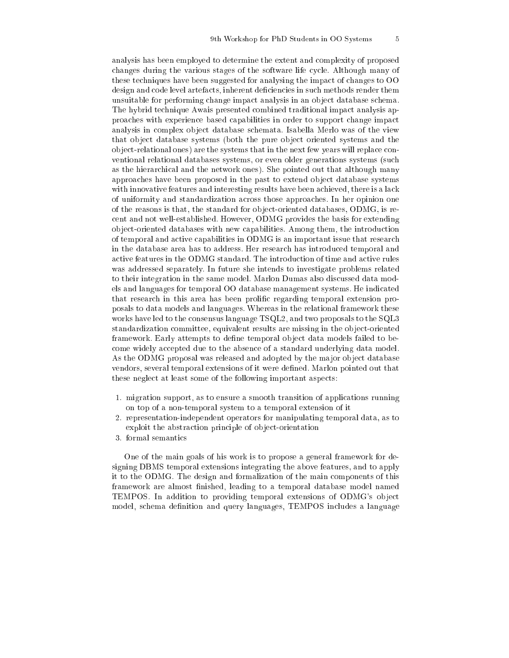analysis has been employed to determine the extent and complexity of proposed changes during the various stages of the software life cycle. Although many of these techniques have been suggested for analysing the impact of changes to OO design and code level artefacts, inherent deficiencies in such methods render them unsuitable for performing change impact analysis in an ob ject database schema. The hybrid technique Awais presented combined traditional impact analysis approaches with experience based capabilities in order to support change impact analysis in complex ob ject database schemata. Isabella Merlo was of the view that ob ject database systems (both the pure ob ject oriented systems and the ob ject-relational ones) are the systems that in the next few years will replace conventional relational databases systems, or even older generations systems (such as the hierarchical and the network ones). She pointed out that although many approaches have been proposed in the past to extend ob ject database systems with innovative features and interesting results have been achieved, there is a lack of uniformity and standardization across those approaches. In her opinion one of the reasons is that, the standard for ob ject-oriented databases, ODMG, is recent and not well-established. However, ODMG provides the basis for extending ob ject-oriented databases with new capabilities. Among them, the introduction of temporal and active capabilities in ODMG is an important issue that research in the database area has to address. Her research has introduced temporal and active features in the ODMG standard. The introduction of time and active rules was addressed separately. In future she intends to investigate problems related to their integration in the same model. Marlon Dumas also discussed data models and languages for temporal OO database management systems. He indicated that research in this area has been prolic regarding temporal extension proposals to data models and languages. Whereas in the relational framework these works have led to the consensus language TSQL2, and two proposals to the SQL3 standardization committee, equivalent results are missing in the ob ject-oriented framework. Early attempts to define temporal object data models failed to become widely accepted due to the absence of a standard underlying data model. As the ODMG proposal was released and adopted by the major object database vendors, several temporal extensions of it were dened. Marlon pointed out that these neglect at least some of the following important aspects:

- 1. migration support, as to ensure a smooth transition of applications running on top of a non-temporal system to a temporal extension of it
- 2. representation-independent operators for manipulating temporal data, as to exploit the abstraction principle of object-orientation
- 3. formal semantics

One of the main goals of his work is to propose a general framework for designing DBMS temporal extensions integrating the above features, and to apply it to the ODMG. The design and formalization of the main components of this framework are almost finished, leading to a temporal database model named TEMPOS. In addition to providing temporal extensions of ODMG's ob ject model, schema definition and query languages, TEMPOS includes a language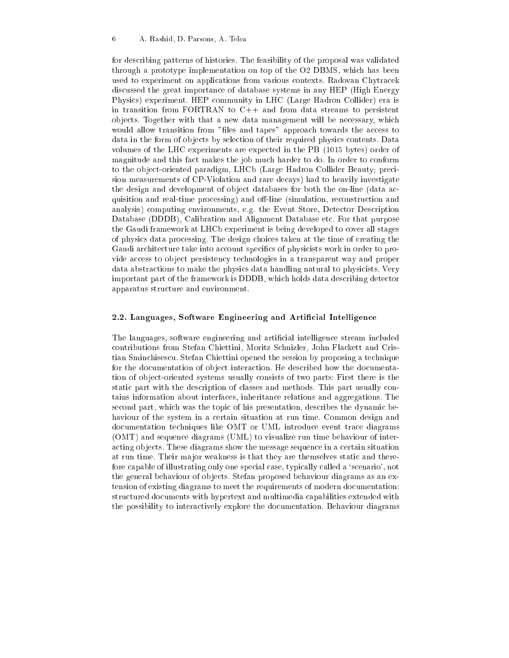for describing patterns of histories. The feasibility of the proposal was validated through a prototype implementation on top of the O2 DBMS, which has been used to experiment on applications from various contexts. Radovan Chytracek discussed the great importance of database systems in any HEP (High Energy Physics) experiment. HEP community in LHC (Large Hadron Collider) era is in transition from FORTRAN to  $C++$  and from data streams to persistent ob jects. Together with that a new data management will be necessary, which would allow transition from "files and tapes" approach towards the access to data in the form of objects by selection of their required physics contents. Data volumes of the LHC experiments are expected in the PB (1015 bytes) order of magnitude and this fact makes the job much harder to do. In order to conform to the ob ject-oriented paradigm, LHCb (Large Hadron Collider Beauty; precision measurements of CP-Violation and rare decays) had to heavily investigate the design and development of object databases for both the on-line (data acquisition and real-time processing) and off-line (simulation, reconstruction and analysis) computing environments, e.g. the Event Store, Detector Description Database (DDDB), Calibration and Alignment Database etc. For that purpose the Gaudi framework at LHCb experiment is being developed to cover all stages of physics data processing. The design choices taken at the time of creating the Gaudi architecture take into account specifics of physicists work in order to provide access to ob ject persistency technologies in a transparent way and proper data abstractions to make the physics data handling natural to physicists. Very important part of the framework is DDDB, which holds data describing detector apparatus structure and environment.

#### 2.2. Languages, Software Engineering and Articial Intelligence

The languages, software engineering and articial intelligence stream included contributions from Stefan Chiettini, Moritz Schnizler, John Flackett and Cristian Sminchisescu. Stefan Chiettini opened the session by proposing a technique for the documentation of object interaction. He described how the documentation of ob ject-oriented systems usually consists of two parts: First there is the static part with the description of classes and methods. This part usually contains information about interfaces, inheritance relations and aggregations. The second part, which was the topic of his presentation, describes the dynamic behaviour of the system in a certain situation at run time. Common design and documentation techniques like OMT or UML introduce event trace diagrams (OMT) and sequence diagrams (UML) to visualize run time behaviour of interacting ob jects. These diagrams show the message sequence in a certain situation at run time. Their major weakness is that they are themselves static and therefore capable of illustrating only one special case, typically called a 'scenario', not the general behaviour of objects. Stefan proposed behaviour diagrams as an extension of existing diagrams to meet the requirements of modern documentation: structured documents with hypertext and multimedia capabilities extended with the possibility to interactively explore the documentation. Behaviour diagrams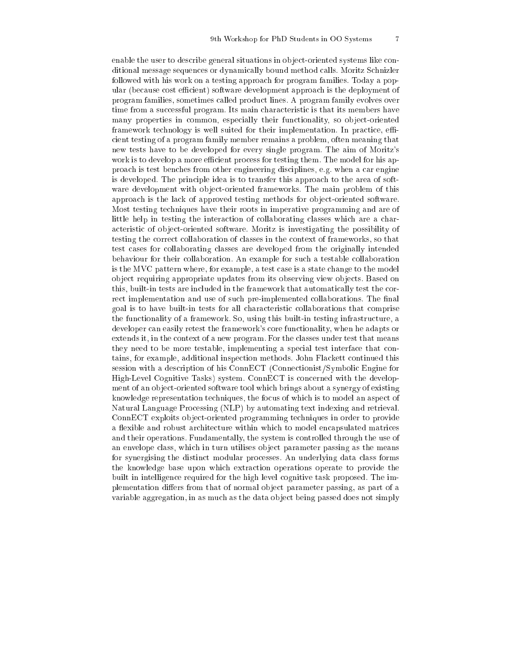enable the user to describe general situations in object-oriented systems like conditional message sequences or dynamically bound method calls. Moritz Schnizler followed with his work on a testing approach for program families. Today a popular (because cost efficient) software development approach is the deployment of program families, sometimes called product lines. A program family evolves over time from a successful program. Its main characteristic is that its members have many properties in common, especially their functionality, so object-oriented framework technology is well suited for their implementation. In practice, efficient testing of a program family member remains a problem, often meaning that new tests have to be developed for every single program. The aim of Moritz's work is to develop a more efficient process for testing them. The model for his approach is test benches from other engineering disciplines, e.g. when a car engine is developed. The principle idea is to transfer this approach to the area of software development with object-oriented frameworks. The main problem of this approach is the lack of approved testing methods for object-oriented software. Most testing techniques have their roots in imperative programming and are of little help in testing the interaction of collaborating classes which are a characteristic of object-oriented software. Moritz is investigating the possibility of testing the correct collaboration of classes in the context of frameworks, so that test cases for collaborating classes are developed from the originally intended behaviour for their collaboration. An example for such a testable collaboration is the MVC pattern where, for example, a test case is a state change to the model object requiring appropriate updates from its observing view objects. Based on this, built-in tests are included in the framework that automatically test the correct implementation and use of such pre-implemented collaborations. The final goal is to have built-in tests for all characteristic collaborations that comprise the functionality of a framework. So, using this built-in testing infrastructure, a developer can easily retest the framework's core functionality, when he adapts or extends it, in the context of a new program. For the classes under test that means they need to be more testable, implementing a special test interface that contains, for example, additional inspection methods. John Flackett continued this session with a description of his ConnECT (Connectionist/Symbolic Engine for High-Level Cognitive Tasks) system. ConnECT is concerned with the development of an object-oriented software tool which brings about a synergy of existing knowledge representation techniques, the focus of which is to model an aspect of Natural Language Processing (NLP) by automating text indexing and retrieval. ConnECT exploits object-oriented programming techniques in order to provide a flexible and robust architecture within which to model encapsulated matrices and their operations. Fundamentally, the system is controlled through the use of an envelope class, which in turn utilises object parameter passing as the means for synergising the distinct modular processes. An underlying data class forms the knowledge base upon which extraction operations operate to provide the built in intelligence required for the high level cognitive task proposed. The implementation differs from that of normal object parameter passing, as part of a

variable aggregation, in as much as the data object being passed does not simply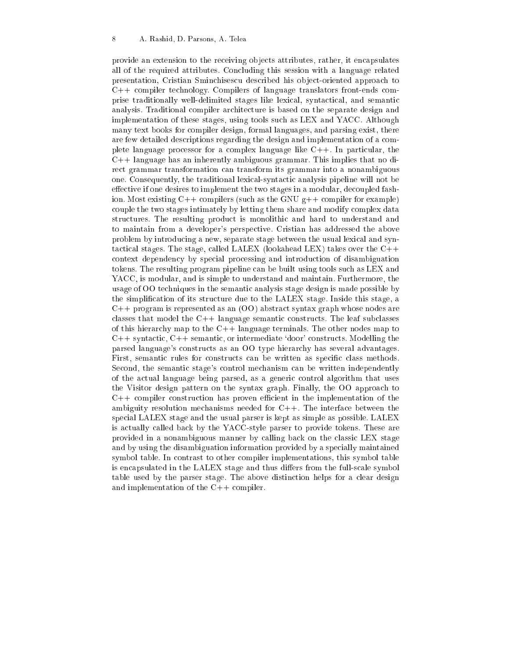provide an extension to the receiving ob jects attributes, rather, it encapsulates all of the required attributes. Concluding this session with a language related presentation, Cristian Sminchisescu described his ob ject-oriented approach to C++ compiler technology. Compilers of language translators front-ends comprise traditionally well-delimited stages like lexical, syntactical, and semantic analysis. Traditional compiler architecture is based on the separate design and implementation of these stages, using tools such as LEX and YACC. Although many text books for compiler design, formal languages, and parsing exist, there are few detailed descriptions regarding the design and implementation of a complete language processor for a complex language like C++. In particular, the  $C++$  language has an inherently ambiguous grammar. This implies that no direct grammar transformation can transform its grammar into a nonambiguous one. Consequently, the traditional lexical-syntactic analysis pipeline will not be effective if one desires to implement the two stages in a modular, decoupled fashion. Most existing  $C++$  compilers (such as the GNU  $g++$  compiler for example) couple the two stages intimately by letting them share and modify complex data structures. The resulting product is monolithic and hard to understand and to maintain from a developer's perspective. Cristian has addressed the above problem by introducing a new, separate stage between the usual lexical and syntactical stages. The stage, called LALEX (lookahead LEX) takes over the  $C_{++}$ context dependency by special processing and introduction of disambiguation tokens. The resulting program pipeline can be built using tools such as LEX and YACC, is modular, and is simple to understand and maintain. Furthermore, the usage of OO techniques in the semantic analysis stage design is made possible by the simplication of its structure due to the LALEX stage. Inside this stage, a C++ program is represented as an (OO) abstract syntax graph whose nodes are classes that model the C++ language semantic constructs. The leaf subclasses of this hierarchy map to the C++ language terminals. The other nodes map to C++ syntactic, C++ semantic, or intermediate `door' constructs. Modelling the parsed language's constructs as an OO type hierarchy has several advantages. First, semantic rules for constructs can be written as specific class methods. Second, the semantic stage's control mechanism can be written independently of the actual language being parsed, as a generic control algorithm that uses the Visitor design pattern on the syntax graph. Finally, the OO approach to  $C++$  compiler construction has proven efficient in the implementation of the ambiguity resolution mechanisms needed for  $C++$ . The interface between the special LALEX stage and the usual parser is kept as simple as possible. LALEX is actually called back by the YACC-style parser to provide tokens. These are provided in a nonambiguous manner by calling back on the classic LEX stage and by using the disambiguation information provided by a specially maintained symbol table. In contrast to other compiler implementations, this symbol table is encapsulated in the LALEX stage and thus differs from the full-scale symbol table used by the parser stage. The above distinction helps for a clear design and implementation of the C++ compiler.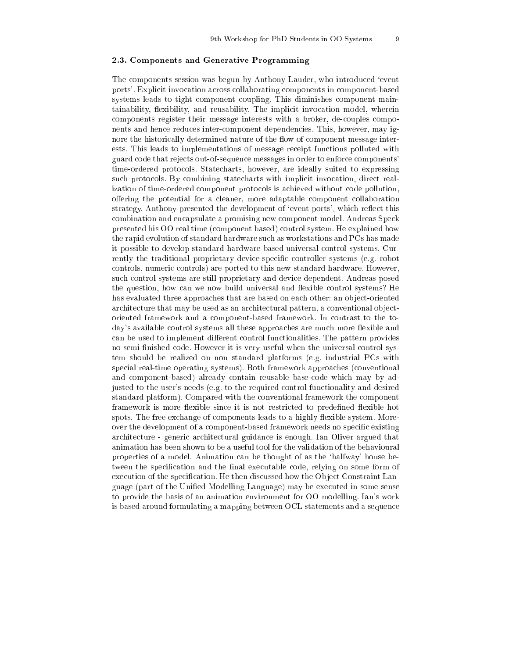#### 2.3. Components and Generative Programming

The components session was begun by Anthony Lauder, who introduced `event ports'. Explicit invocation across collaborating components in component-based systems leads to tight component coupling. This diminishes component maintainability, flexibility, and reusability. The implicit invocation model, wherein components register their message interests with a broker, de-couples components and hence reduces inter-component dependencies. This, however, may ignore the historically determined nature of the flow of component message interests. This leads to implementations of message receipt functions polluted with guard code that rejects out-of-sequence messages in order to enforce components' time-ordered protocols. Statecharts, however, are ideally suited to expressing such protocols. By combining statecharts with implicit invocation, direct realization of time-ordered component protocols is achieved without code pollution, offering the potential for a cleaner, more adaptable component collaboration strategy. Anthony presented the development of 'event ports', which reflect this combination and encapsulate a promising new component model. Andreas Speck presented his OO real time (component based) control system. He explained how the rapid evolution of standard hardware such as workstations and PCs has made it possible to develop standard hardware-based universal control systems. Currently the traditional proprietary device-specic controller systems (e.g. robot controls, numeric controls) are ported to this new standard hardware. However, such control systems are still proprietary and device dependent. Andreas posed the question, how can we now build universal and flexible control systems? He has evaluated three approaches that are based on each other: an object-oriented architecture that may be used as an architectural pattern, a conventional objectoriented framework and a component-based framework. In contrast to the today's available control systems all these approaches are much more flexible and can be used to implement different control functionalities. The pattern provides no semi-finished code. However it is very useful when the universal control system should be realized on non standard platforms (e.g. industrial PCs with special real-time operating systems). Both framework approaches (conventional and component-based) already contain reusable base-code which may by adjusted to the user's needs (e.g. to the required control functionality and desired standard platform). Compared with the conventional framework the component framework is more flexible since it is not restricted to predefined flexible hot spots. The free exchange of components leads to a highly flexible system. Moreover the development of a component-based framework needs no specific existing architecture - generic architectural guidance is enough. Ian Oliver argued that animation has been shown to be a useful tool for the validation of the behavioural properties of a model. Animation can be thought of as the `halfway' house between the specification and the final executable code, relying on some form of execution of the specification. He then discussed how the Object Constraint Language (part of the Unied Modelling Language) may be executed in some sense to provide the basis of an animation environment for OO modelling. Ian's work is based around formulating a mapping between OCL statements and a sequence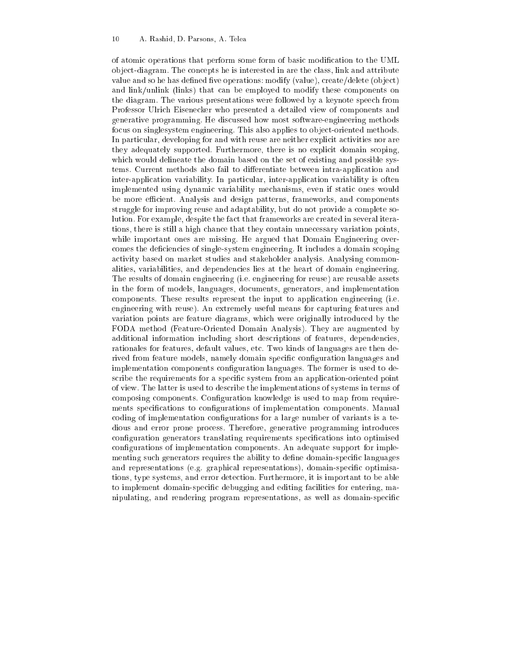of atomic operations that perform some form of basic modication to the UML ob ject-diagram. The concepts he is interested in are the class, link and attribute value and so he has defined five operations: modify (value), create/delete (object) and link/unlink (links) that can be employed to modify these components on the diagram. The various presentations were followed by a keynote speech from Professor Ulrich Eisenecker who presented a detailed view of components and generative programming. He discussed how most software-engineering methods focus on singlesystem engineering. This also applies to object-oriented methods. In particular, developing for and with reuse are neither explicit activities nor are they adequately supported. Furthermore, there is no explicit domain scoping, which would delineate the domain based on the set of existing and possible systems. Current methods also fail to differentiate between intra-application and inter-application variability. In particular, inter-application variability is often implemented using dynamic variability mechanisms, even if static ones would be more efficient. Analysis and design patterns, frameworks, and components struggle for improving reuse and adaptability, but do not provide a complete solution. For example, despite the fact that frameworks are created in several iterations, there is still a high chance that they contain unnecessary variation points, while important ones are missing. He argued that Domain Engineering overcomes the deficiencies of single-system engineering. It includes a domain scoping activity based on market studies and stakeholder analysis. Analysing commonalities, variabilities, and dependencies lies at the heart of domain engineering. The results of domain engineering (i.e. engineering for reuse) are reusable assets in the form of models, languages, documents, generators, and implementation components. These results represent the input to application engineering (i.e. engineering with reuse). An extremely useful means for capturing features and variation points are feature diagrams, which were originally introduced by the FODA method (Feature-Oriented Domain Analysis). They are augmented by additional information including short descriptions of features, dependencies, rationales for features, default values, etc. Two kinds of languages are then derived from feature models, namely domain specific configuration languages and implementation components configuration languages. The former is used to describe the requirements for a specific system from an application-oriented point of view. The latter is used to describe the implementations of systems in terms of composing components. Configuration knowledge is used to map from requirements specifications to configurations of implementation components. Manual coding of implementation congurations for a large number of variants is a tedious and error prone process. Therefore, generative programming introduces configuration generators translating requirements specifications into optimised configurations of implementation components. An adequate support for implementing such generators requires the ability to define domain-specific languages and representations (e.g. graphical representations), domain-specic optimisations, type systems, and error detection. Furthermore, it is important to be able to implement domain-specific debugging and editing facilities for entering, manipulating, and rendering program representations, as well as domain-specic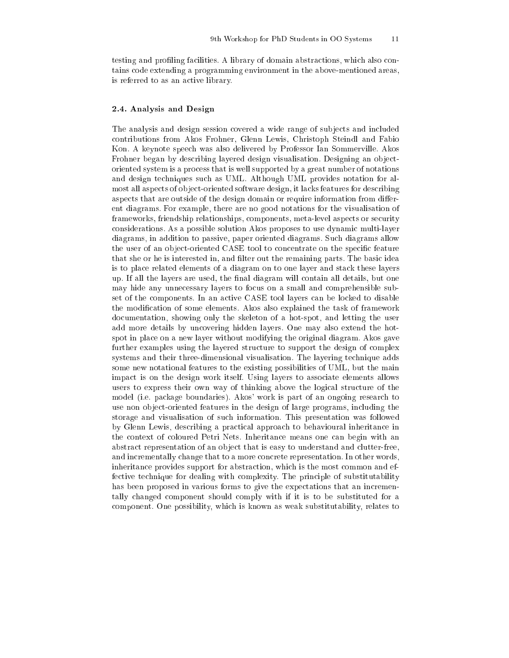testing and profiling facilities. A library of domain abstractions, which also contains code extending a programming environment in the above-mentioned areas, is referred to as an active library.

## 2.4. Analysis and Design

The analysis and design session covered a wide range of sub jects and included contributions from Akos Frohner, Glenn Lewis, Christoph Steindl and Fabio Kon. A keynote speech was also delivered by Professor Ian Sommerville. Akos Frohner began by describing layered design visualisation. Designing an objectoriented system is a process that is well supported by a great number of notations and design techniques such as UML. Although UML provides notation for almost all aspects of ob ject-oriented software design, it lacks features for describing aspects that are outside of the design domain or require information from different diagrams. For example, there are no good notations for the visualisation of frameworks, friendship relationships, components, meta-level aspects or security considerations. As a possible solution Akos proposes to use dynamic multi-layer diagrams, in addition to passive, paper oriented diagrams. Such diagrams allow the user of an object-oriented CASE tool to concentrate on the specific feature that she or he is interested in, and filter out the remaining parts. The basic idea is to place related elements of a diagram on to one layer and stack these layers up. If all the layers are used, the final diagram will contain all details, but one may hide any unnecessary layers to focus on a small and comprehensible subset of the components. In an active CASE tool layers can be locked to disable the modication of some elements. Akos also explained the task of framework documentation, showing only the skeleton of a hot-spot, and letting the user add more details by uncovering hidden layers. One may also extend the hotspot in place on a new layer without modifying the original diagram. Akos gave further examples using the layered structure to support the design of complex systems and their three-dimensional visualisation. The layering technique adds some new notational features to the existing possibilities of UML, but the main impact is on the design work itself. Using layers to associate elements allows users to express their own way of thinking above the logical structure of the model (i.e. package boundaries). Akos' work is part of an ongoing research to use non object-oriented features in the design of large programs, including the storage and visualisation of such information. This presentation was followed by Glenn Lewis, describing a practical approach to behavioural inheritance in the context of coloured Petri Nets. Inheritance means one can begin with an abstract representation of an object that is easy to understand and clutter-free, and incrementally change that to a more concrete representation. In other words, inheritance provides support for abstraction, which is the most common and effective technique for dealing with complexity. The principle of substitutability has been proposed in various forms to give the expectations that an incrementally changed component should comply with if it is to be substituted for a component. One possibility, which is known as weak substitutability, relates to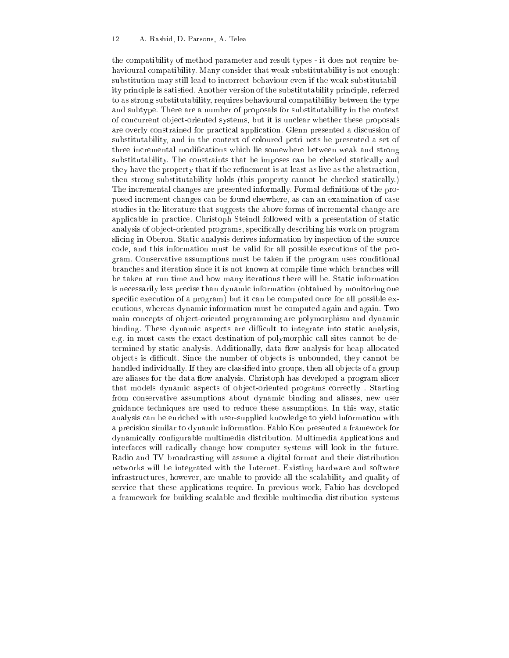the compatibility of method parameter and result types - it does not require behavioural compatibility. Many consider that weak substitutability is not enough: substitution may still lead to incorrect behaviour even if the weak substitutability principle is satised. Another version of the substitutability principle, referred to as strong substitutability, requires behavioural compatibility between the type and subtype. There are a number of proposals for substitutability in the context of concurrent ob ject-oriented systems, but it is unclear whether these proposals are overly constrained for practical application. Glenn presented a discussion of substitutability, and in the context of coloured petri nets he presented a set of three incremental modications which lie somewhere between weak and strong substitutability. The constraints that he imposes can be checked statically and they have the property that if the refinement is at least as live as the abstraction, then strong substitutability holds (this property cannot be checked statically.) The incremental changes are presented informally. Formal definitions of the proposed increment changes can be found elsewhere, as can an examination of case studies in the literature that suggests the above forms of incremental change are applicable in practice. Christoph Steindl followed with a presentation of static analysis of object-oriented programs, specifically describing his work on program slicing in Oberon. Static analysis derives information by inspection of the source code, and this information must be valid for all possible executions of the program. Conservative assumptions must be taken if the program uses conditional branches and iteration since it is not known at compile time which branches will be taken at run time and how many iterations there will be. Static information is necessarily less precise than dynamic information (obtained by monitoring one specific execution of a program) but it can be computed once for all possible executions, whereas dynamic information must be computed again and again. Two main concepts of ob ject-oriented programming are polymorphism and dynamic binding. These dynamic aspects are difficult to integrate into static analysis, e.g. in most cases the exact destination of polymorphic call sites cannot be determined by static analysis. Additionally, data flow analysis for heap allocated objects is difficult. Since the number of objects is unbounded, they cannot be handled individually. If they are classified into groups, then all objects of a group are aliases for the data flow analysis. Christoph has developed a program slicer that models dynamic aspects of ob ject-oriented programs correctly . Starting from conservative assumptions about dynamic binding and aliases, new user guidance techniques are used to reduce these assumptions. In this way, static analysis can be enriched with user-supplied knowledge to yield information with a precision similar to dynamic information. Fabio Kon presented a framework for dynamically configurable multimedia distribution. Multimedia applications and interfaces will radically change how computer systems will look in the future. Radio and TV broadcasting will assume a digital format and their distribution networks will be integrated with the Internet. Existing hardware and software infrastructures, however, are unable to provide all the scalability and quality of service that these applications require. In previous work, Fabio has developed a framework for building scalable and flexible multimedia distribution systems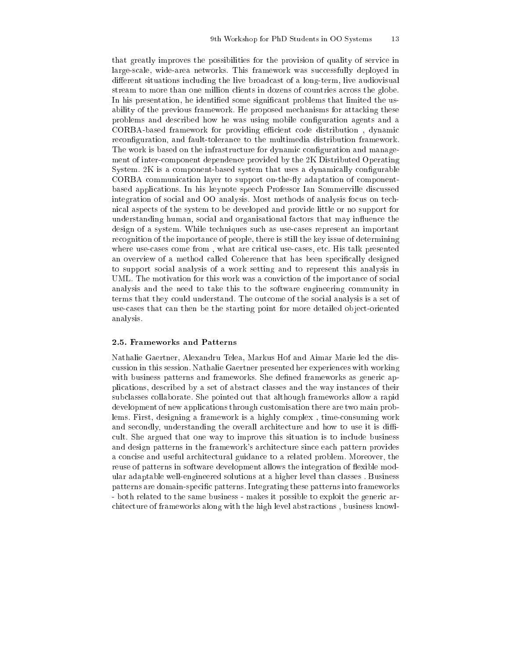13

that greatly improves the possibilities for the provision of quality of service in large-scale, wide-area networks. This framework was successfully deployed in different situations including the live broadcast of a long-term, live audiovisual stream to more than one million clients in dozens of countries across the globe. In his presentation, he identified some significant problems that limited the usability of the previous framework. He proposed mechanisms for attacking these problems and described how he was using mobile conguration agents and a CORBA-based framework for providing efficient code distribution, dynamic reconguration, and fault-tolerance to the multimedia distribution framework. The work is based on the infrastructure for dynamic configuration and management of inter-component dependence provided by the 2K Distributed Operating System. 2K is a component-based system that uses a dynamically configurable CORBA communication layer to support on-the-fly adaptation of componentbased applications. In his keynote speech Professor Ian Sommerville discussed integration of social and OO analysis. Most methods of analysis focus on technical aspects of the system to be developed and provide little or no support for understanding human, social and organisational factors that may influence the design of a system. While techniques such as use-cases represent an important recognition of the importance of people, there is still the key issue of determining where use-cases come from , what are critical use-cases, etc. His talk presented an overview of a method called Coherence that has been specically designed to support social analysis of a work setting and to represent this analysis in UML. The motivation for this work was a conviction of the importance of social analysis and the need to take this to the software engineering community in terms that they could understand. The outcome of the social analysis is a set of use-cases that can then be the starting point for more detailed ob ject-oriented analysis.

#### 2.5. Frameworks and Patterns

Nathalie Gaertner, Alexandru Telea, Markus Hof and Aimar Marie led the discussion in this session. Nathalie Gaertner presented her experiences with working with business patterns and frameworks. She defined frameworks as generic applications, described by a set of abstract classes and the way instances of their subclasses collaborate. She pointed out that although frameworks allow a rapid development of new applications through customisation there are two main problems. First, designing a framework is a highly complex , time-consuming work and secondly, understanding the overall architecture and how to use it is difficult. She argued that one way to improve this situation is to include business and design patterns in the framework's architecture since each pattern provides a concise and useful architectural guidance to a related problem. Moreover, the reuse of patterns in software development allows the integration of flexible modular adaptable well-engineered solutions at a higher level than classes . Business patterns are domain-specic patterns. Integrating these patterns into frameworks - both related to the same business - makes it possible to exploit the generic architecture of frameworks along with the high level abstractions , business knowl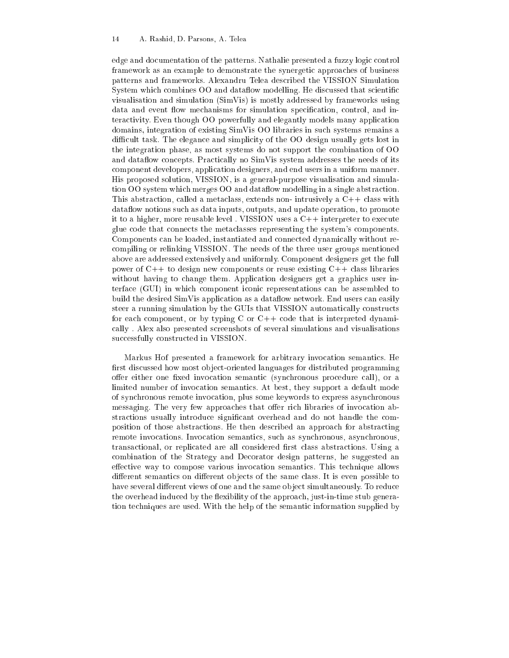edge and documentation of the patterns. Nathalie presented a fuzzy logic control framework as an example to demonstrate the synergetic approaches of business patterns and frameworks. Alexandru Telea described the VISSION Simulation System which combines OO and dataflow modelling. He discussed that scientific visualisation and simulation (SimVis) is mostly addressed by frameworks using data and event flow mechanisms for simulation specification, control, and interactivity. Even though OO powerfully and elegantly models many application domains, integration of existing SimVis OO libraries in such systems remains a difficult task. The elegance and simplicity of the OO design usually gets lost in the integration phase, as most systems do not support the combination of OO and dataflow concepts. Practically no SimVis system addresses the needs of its component developers, application designers, and end users in a uniform manner. His proposed solution, VISSION, is a general-purpose visualisation and simulation OO system which merges OO and dataflow modelling in a single abstraction. This abstraction, called a metaclass, extends non- intrusively a  $C++$  class with dataflow notions such as data inputs, outputs, and update operation, to promote it to a higher, more reusable level . VISSION uses a C++ interpreter to execute glue code that connects the metaclasses representing the system's components. Components can be loaded, instantiated and connected dynamically without recompiling or relinking VISSION. The needs of the three user groups mentioned above are addressed extensively and uniformly. Component designers get the full power of C++ to design new components or reuse existing C++ class libraries without having to change them. Application designers get a graphics user interface (GUI) in which component iconic representations can be assembled to build the desired SimVis application as a dataflow network. End users can easily steer a running simulation by the GUIs that VISSION automatically constructs for each component, or by typing C or  $C++$  code that is interpreted dynamically . Alex also presented screenshots of several simulations and visualisations successfully constructed in VISSION.

Markus Hof presented a framework for arbitrary invocation semantics. He first discussed how most object-oriented languages for distributed programming offer either one fixed invocation semantic (synchronous procedure call), or a limited number of invocation semantics. At best, they support a default mode of synchronous remote invocation, plus some keywords to express asynchronous messaging. The very few approaches that offer rich libraries of invocation abstractions usually introduce signicant overhead and do not handle the composition of those abstractions. He then described an approach for abstracting remote invocations. Invocation semantics, such as synchronous, asynchronous, transactional, or replicated are all considered first class abstractions. Using a combination of the Strategy and Decorator design patterns, he suggested an effective way to compose various invocation semantics. This technique allows different semantics on different objects of the same class. It is even possible to have several different views of one and the same object simultaneously. To reduce the overhead induced by the flexibility of the approach, just-in-time stub generation techniques are used. With the help of the semantic information supplied by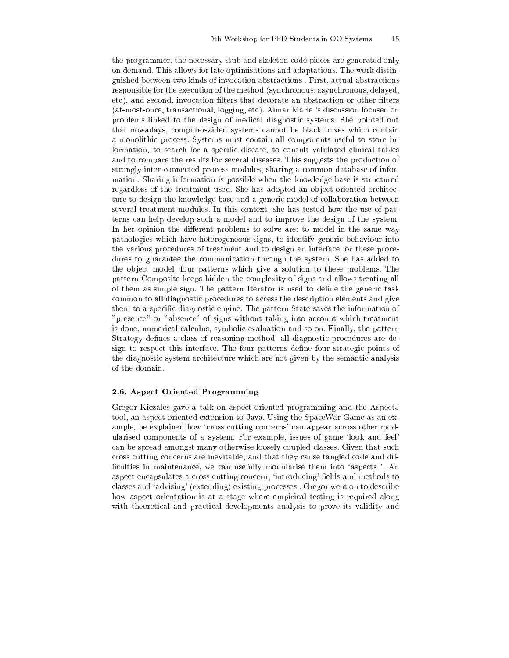15

the programmer, the necessary stub and skeleton code pieces are generated only on demand. This allows for late optimisations and adaptations. The work distinguished between two kinds of invocation abstractions . First, actual abstractions responsible for the execution of the method (synchronous, asynchronous, delayed, etc), and second, invocation filters that decorate an abstraction or other filters (at-most-once, transactional, logging, etc). Aimar Marie 's discussion focused on problems linked to the design of medical diagnostic systems. She pointed out that nowadays, computer-aided systems cannot be black boxes which contain a monolithic process. Systems must contain all components useful to store information, to search for a specic disease, to consult validated clinical tables and to compare the results for several diseases. This suggests the production of strongly inter-connected process modules, sharing a common database of information. Sharing information is possible when the knowledge base is structured regardless of the treatment used. She has adopted an object-oriented architecture to design the knowledge base and a generic model of collaboration between several treatment modules. In this context, she has tested how the use of patterns can help develop such a model and to improve the design of the system. In her opinion the different problems to solve are: to model in the same way pathologies which have heterogeneous signs, to identify generic behaviour into the various procedures of treatment and to design an interface for these procedures to guarantee the communication through the system. She has added to the ob ject model, four patterns which give a solution to these problems. The pattern Composite keeps hidden the complexity of signs and allows treating all of them as simple sign. The pattern Iterator is used to dene the generic task common to all diagnostic procedures to access the description elements and give them to a specic diagnostic engine. The pattern State saves the information of "presence" or "absence" of signs without taking into account which treatment is done, numerical calculus, symbolic evaluation and so on. Finally, the pattern Strategy defines a class of reasoning method, all diagnostic procedures are design to respect this interface. The four patterns define four strategic points of the diagnostic system architecture which are not given by the semantic analysis of the domain.

#### 2.6. Aspect Oriented Programming

Gregor Kiczales gave a talk on aspect-oriented programming and the AspectJ tool, an aspect-oriented extension to Java. Using the SpaceWar Game as an example, he explained how 'cross cutting concerns' can appear across other modularised components of a system. For example, issues of game `look and feel' can be spread amongst many otherwise loosely coupled classes. Given that such cross cutting concerns are inevitable, and that they cause tangled code and dif ficulties in maintenance, we can usefully modularise them into 'aspects'. An aspect encapsulates a cross cutting concern, 'introducing' fields and methods to classes and `advising' (extending) existing processes . Gregor went on to describe how aspect orientation is at a stage where empirical testing is required along with theoretical and practical developments analysis to prove its validity and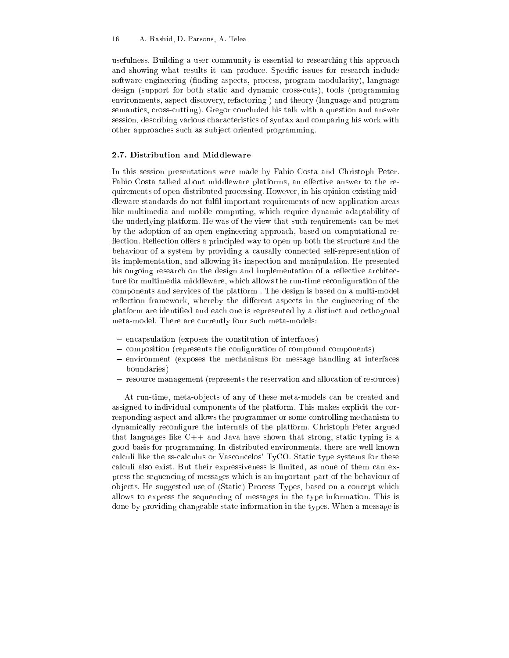usefulness. Building a user community is essential to researching this approach and showing what results it can produce. Specific issues for research include software engineering (finding aspects, process, program modularity), language design (support for both static and dynamic cross-cuts), tools (programming environments, aspect discovery, refactoring ) and theory (language and program semantics, cross-cutting). Gregor concluded his talk with a question and answer session, describing various characteristics of syntax and comparing his work with other approaches such as sub ject oriented programming.

### 2.7. Distribution and Middleware

In this session presentations were made by Fabio Costa and Christoph Peter. Fabio Costa talked about middleware platforms, an effective answer to the requirements of open distributed processing. However, in his opinion existing middleware standards do not full important requirements of new application areas like multimedia and mobile computing, which require dynamic adaptability of the underlying platform. He was of the view that such requirements can be met by the adoption of an open engineering approach, based on computational re flection. Reflection offers a principled way to open up both the structure and the behaviour of a system by providing a causally connected self-representation of its implementation, and allowing its inspection and manipulation. He presented his ongoing research on the design and implementation of a reflective architecture for multimedia middleware, which allows the run-time reconfiguration of the components and services of the platform . The design is based on a multi-model reflection framework, whereby the different aspects in the engineering of the platform are identied and each one is represented by a distinct and orthogonal meta-model. There are currently four such meta-models:

- $=$  encapsulation (exposes the constitution of interfaces)
- $-$  composition (represents the configuration of compound components)
- { environment (exposes the mechanisms for message handling at interfaces boundaries)
- { resource management (represents the reservation and allocation of resources)

At run-time, meta-objects of any of these meta-models can be created and assigned to individual components of the platform. This makes explicit the corresponding aspect and allows the programmer or some controlling mechanism to dynamically reconfigure the internals of the platform. Christoph Peter argued that languages like  $C++$  and Java have shown that strong, static typing is a good basis for programming. In distributed environments, there are well known calculi like the ss-calculus or Vasconcelos' TyCO. Static type systems for these calculi also exist. But their expressiveness is limited, as none of them can express the sequencing of messages which is an important part of the behaviour of ob jects. He suggested use of (Static) Process Types, based on a concept which allows to express the sequencing of messages in the type information. This is done by providing changeable state information in the types. When a message is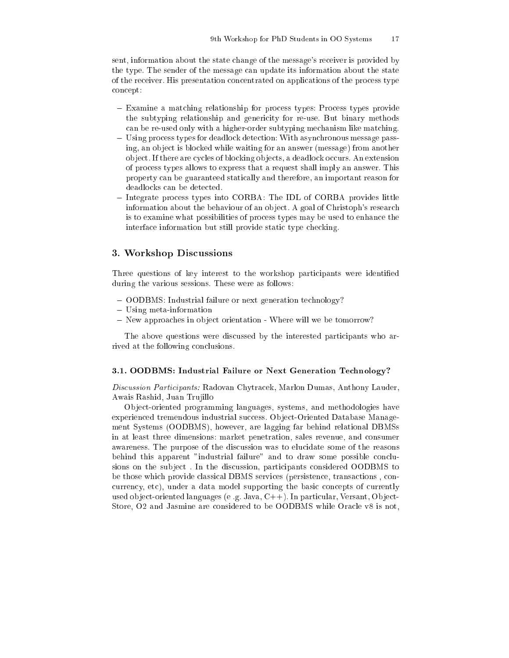sent, information about the state change of the message's receiver is provided by the type. The sender of the message can update its information about the state of the receiver. His presentation concentrated on applications of the process type concept:

- { Examine a matching relationship for process types: Process types provide the subtyping relationship and genericity for re-use. But binary methods can be re-used only with a higher-order subtyping mechanism like matching.
- ${\rm -}$  Using process types for deadlock detection: With asynchronous message passing, an ob ject is blocked while waiting for an answer (message) from another ob ject. If there are cycles of blocking ob jects, a deadlock occurs. An extension of process types allows to express that a request shall imply an answer. This property can be guaranteed statically and therefore, an important reason for deadlocks can be detected.
- { Integrate process types into CORBA: The IDL of CORBA provides little information about the behaviour of an ob ject. A goal of Christoph's research is to examine what possibilities of process types may be used to enhance the interface information but still provide static type checking.

## 3. Workshop Discussions

Three questions of key interest to the workshop participants were identified during the various sessions. These were as follows:

- ${\rm -OODBMS:}$  Industrial failure or next generation technology?
- { Using meta-information
- New approaches in object orientation Where will we be tomorrow?

The above questions were discussed by the interested participants who arrived at the following conclusions.

#### 3.1. OODBMS: Industrial Failure or Next Generation Technology?

Discussion Participants: Radovan Chytracek, Marlon Dumas, Anthony Lauder, Awais Rashid, Juan Trujillo

Ob ject-oriented programming languages, systems, and methodologies have experienced tremendous industrial success. Ob ject-Oriented Database Management Systems (OODBMS), however, are lagging far behind relational DBMSs in at least three dimensions: market penetration, sales revenue, and consumer awareness. The purpose of the discussion was to elucidate some of the reasons behind this apparent "industrial failure" and to draw some possible conclusions on the subject. In the discussion, participants considered OODBMS to be those which provide classical DBMS services (persistence, transactions , concurrency, etc), under a data model supporting the basic concepts of currently used object-oriented languages (e.g. Java,  $C++$ ). In particular, Versant, Object-Store, O2 and Jasmine are considered to be OODBMS while Oracle v8 is not,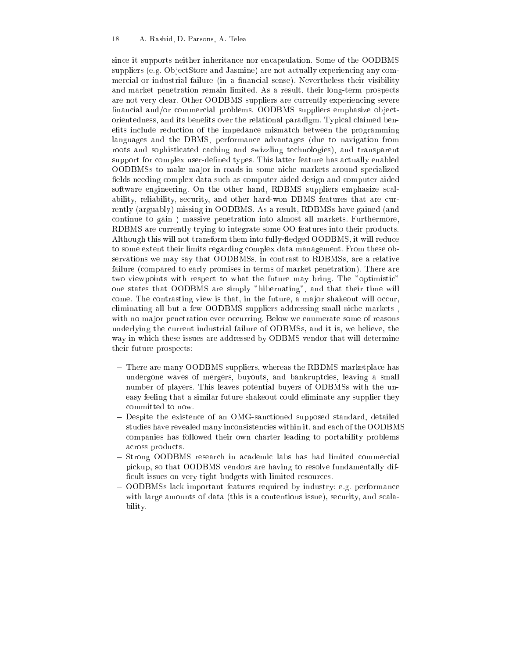since it supports neither inheritance nor encapsulation. Some of the OODBMS suppliers (e.g. ObjectStore and Jasmine) are not actually experiencing any commercial or industrial failure (in a financial sense). Nevertheless their visibility and market penetration remain limited. As a result, their long-term prospects are not very clear. Other OODBMS suppliers are currently experiencing severe financial and/or commercial problems. OODBMS suppliers emphasize objectorientedness, and its benefits over the relational paradigm. Typical claimed benefits include reduction of the impedance mismatch between the programming languages and the DBMS, performance advantages (due to navigation from roots and sophisticated caching and swizzling technologies), and transparent support for complex user-defined types. This latter feature has actually enabled OODBMSs to make ma jor in-roads in some niche markets around specialized fields needing complex data such as computer-aided design and computer-aided software engineering. On the other hand, RDBMS suppliers emphasize scalability, reliability, security, and other hard-won DBMS features that are currently (arguably) missing in OODBMS. As a result, RDBMSs have gained (and continue to gain ) massive penetration into almost all markets. Furthermore, RDBMS are currently trying to integrate some OO features into their products. Although this will not transform them into fully-fledged OODBMS, it will reduce to some extent their limits regarding complex data management. From these observations we may say that OODBMSs, in contrast to RDBMSs, are a relative failure (compared to early promises in terms of market penetration). There are two viewpoints with respect to what the future may bring. The "optimistic" one states that OODBMS are simply "hibernating", and that their time will come. The contrasting view is that, in the future, a ma jor shakeout will occur, eliminating all but a few OODBMS suppliers addressing small niche markets , with no major penetration ever occurring. Below we enumerate some of reasons underlying the current industrial failure of ODBMSs, and it is, we believe, the way in which these issues are addressed by ODBMS vendor that will determine their future prospects:

- There are many OODBMS suppliers, whereas the RBDMS marketplace has undergone waves of mergers, buyouts, and bankruptcies, leaving a small number of players. This leaves potential buyers of ODBMSs with the uneasy feeling that a similar future shakeout could eliminate any supplier they committed to now.
- Despite the existence of an OMG-sanctioned supposed standard, detailed studies have revealed many inconsistencies within it, and each of the OODBMS companies has followed their own charter leading to portability problems across products.
- Strong OODBMS research in academic labs has had limited commercial pickup, so that OODBMS vendors are having to resolve fundamentally dif ficult issues on very tight budgets with limited resources.
- { OODBMSs lack important features required by industry: e.g. performance with large amounts of data (this is a contentious issue), security, and scalability.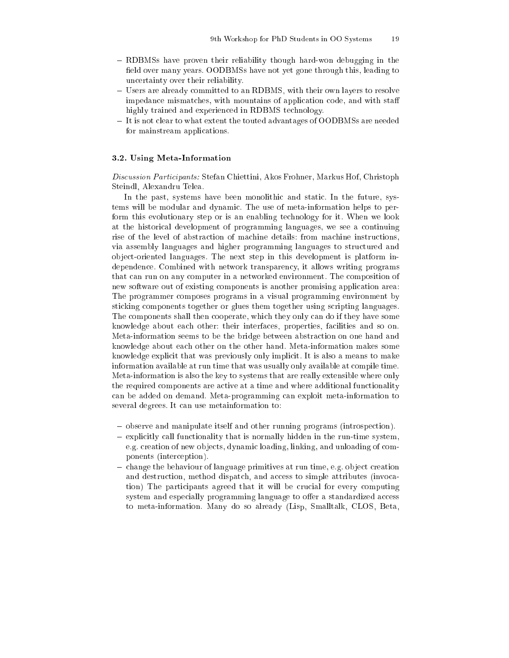- RDBMSs have proven their reliability though hard-won debugging in the field over many years. OODBMSs have not yet gone through this, leading to uncertainty over their reliability.
- Users are already committed to an RDBMS, with their own layers to resolve impedance mismatches, with mountains of application code, and with sta highly trained and experienced in RDBMS technology.
- { It is not clear to what extent the touted advantages of OODBMSs are needed for mainstream applications.

#### 3.2. Using Meta-Information

Discussion Participants: Stefan Chiettini, Akos Frohner, Markus Hof, Christoph Steindl, Alexandru Telea.

In the past, systems have been monolithic and static. In the future, systems will be modular and dynamic. The use of meta-information helps to perform this evolutionary step or is an enabling technology for it. When we look at the historical development of programming languages, we see a continuing rise of the level of abstraction of machine details: from machine instructions, via assembly languages and higher programming languages to structured and ob ject-oriented languages. The next step in this development is platform independence. Combined with network transparency, it allows writing programs that can run on any computer in a networked environment. The composition of new software out of existing components is another promising application area: The programmer composes programs in a visual programming environment by sticking components together or glues them together using scripting languages. The components shall then cooperate, which they only can do if they have some knowledge about each other: their interfaces, properties, facilities and so on. Meta-information seems to be the bridge between abstraction on one hand and knowledge about each other on the other hand. Meta-information makes some knowledge explicit that was previously only implicit. It is also a means to make information available at run time that was usually only available at compile time. Meta-information is also the key to systems that are really extensible where only the required components are active at a time and where additional functionality can be added on demand. Meta-programming can exploit meta-information to several degrees. It can use metainformation to:

- observe and manipulate itself and other running programs (introspection).
- { explicitly call functionality that is normally hidden in the run-time system, e.g. creation of new ob jects, dynamic loading, linking, and unloading of components (interception).
- { change the behaviour of language primitives at run time, e.g. ob ject creation and destruction, method dispatch, and access to simple attributes (invocation) The participants agreed that it will be crucial for every computing system and especially programming language to offer a standardized access to meta-information. Many do so already (Lisp, Smalltalk, CLOS, Beta,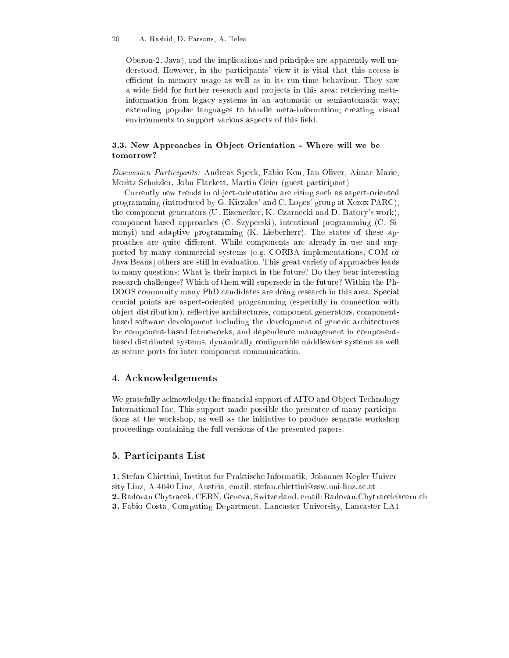Oberon-2, Java), and the implications and principles are apparently well understood. However, in the participants' view it is vital that this access is efficient in memory usage as well as in its run-time behaviour. They saw a wide field for further research and projects in this area: retrieving metainformation from legacy systems in an automatic or semiautomatic way; extending popular languages to handle meta-information; creating visual environments to support various aspects of this field.

## 3.3. New Approaches in Object Orientation - Where will we be tomorrow?

Discussion Participants: Andreas Speck, Fabio Kon, Ian Oliver, Aimar Marie, Moritz Schnizler, John Flackett, Martin Geier (guest participant)

Currently new trends in ob ject-orientation are rising such as aspect-oriented programming (introduced by G. Kiczales' and C. Lopes' group at Xerox PARC), the component generators (U. Eisenecker, K. Czarnecki and D. Batory's work), component-based approaches (C. Szyperski), intentional programming (C. Simonyi) and adaptive programming (K. Lieberherr). The states of these approaches are quite different. While components are already in use and supported by many commercial systems (e.g. CORBA implementations, COM or Java Beans) others are still in evaluation. This great variety of approaches leads to many questions: What is their impact in the future? Do they bear interesting research challenges? Which of them will supersede in the future? Within the Ph-DOOS community many PhD candidates are doing research in this area. Special crucial points are aspect-oriented programming (especially in connection with object distribution), reflective architectures, component generators, componentbased software development including the development of generic architectures for component-based frameworks, and dependence management in componentbased distributed systems, dynamically congurable middleware systems as well as secure ports for inter-component communication.

# 4. Acknowledgements

We gratefully acknowledge the financial support of AITO and Object Technology International Inc. This support made possible the presentce of many participations at the workshop, as well as the initiative to produce separate workshop proceedings containing the full versions of the presented papers.

## 5. Participants List

1. Stefan Chiettini, Institut fur Praktische Informatik, Johannes Kepler University Linz, A-4040 Linz, Austria, email: stefan.chiettini@ssw.uni-linz.ac.at 2. Radovan Chytracek, CERN, Geneva, Switzerland, email: Radovan.Chytracek@cern.ch 3. Fabio Costa, Computing Department, Lancaster University, Lancaster LA1